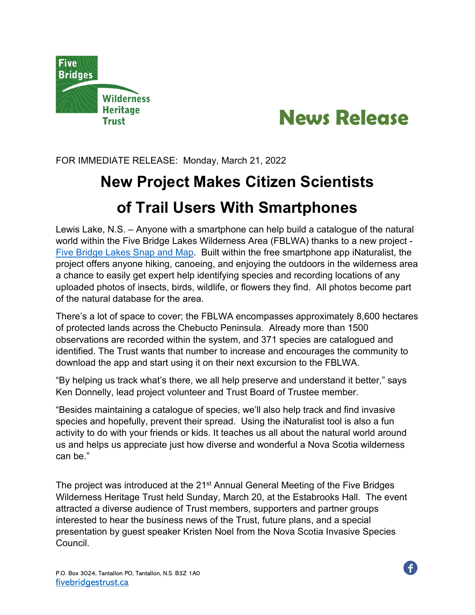



FOR IMMEDIATE RELEASE: Monday, March 21, 2022

## **New Project Makes Citizen Scientists of Trail Users With Smartphones**

Lewis Lake, N.S. – Anyone with a smartphone can help build a catalogue of the natural world within the Five Bridge Lakes Wilderness Area (FBLWA) thanks to a new project - [Five Bridge Lakes](https://inaturalist.ca/projects/five-bridge-lakes-snap-and-map) Snap and Map. Built within the free smartphone app iNaturalist, the project offers anyone hiking, canoeing, and enjoying the outdoors in the wilderness area a chance to easily get expert help identifying species and recording locations of any uploaded photos of insects, birds, wildlife, or flowers they find. All photos become part of the natural database for the area.

There's a lot of space to cover; the FBLWA encompasses approximately 8,600 hectares of protected lands across the Chebucto Peninsula. Already more than 1500 observations are recorded within the system, and 371 species are catalogued and identified. The Trust wants that number to increase and encourages the community to download the app and start using it on their next excursion to the FBLWA.

"By helping us track what's there, we all help preserve and understand it better," says Ken Donnelly, lead project volunteer and Trust Board of Trustee member.

"Besides maintaining a catalogue of species, we'll also help track and find invasive species and hopefully, prevent their spread. Using the iNaturalist tool is also a fun activity to do with your friends or kids. It teaches us all about the natural world around us and helps us appreciate just how diverse and wonderful a Nova Scotia wilderness can be."

The project was introduced at the 21<sup>st</sup> Annual General Meeting of the Five Bridges Wilderness Heritage Trust held Sunday, March 20, at the Estabrooks Hall. The event attracted a diverse audience of Trust members, supporters and partner groups interested to hear the business news of the Trust, future plans, and a special presentation by guest speaker Kristen Noel from the Nova Scotia Invasive Species Council.